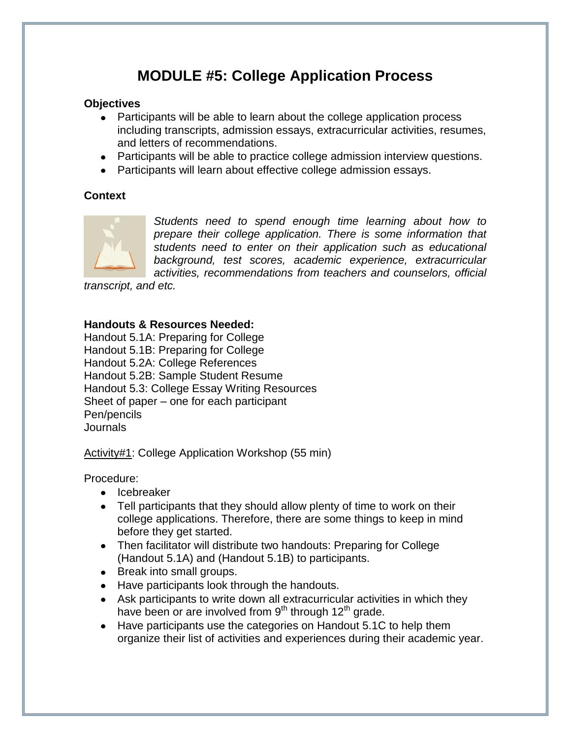# **MODULE #5: College Application Process**

#### **Objectives**

- Participants will be able to learn about the college application process including transcripts, admission essays, extracurricular activities, resumes, and letters of recommendations.
- Participants will be able to practice college admission interview questions.
- Participants will learn about effective college admission essays.

#### **Context**



*Students need to spend enough time learning about how to prepare their college application. There is some information that students need to enter on their application such as educational background, test scores, academic experience, extracurricular activities, recommendations from teachers and counselors, official* 

*transcript, and etc.*

#### **Handouts & Resources Needed:**

Handout 5.1A: Preparing for College Handout 5.1B: Preparing for College Handout 5.2A: College References Handout 5.2B: Sample Student Resume Handout 5.3: College Essay Writing Resources Sheet of paper – one for each participant Pen/pencils Journals

Activity#1: College Application Workshop (55 min)

Procedure:

- Icebreaker
- Tell participants that they should allow plenty of time to work on their college applications. Therefore, there are some things to keep in mind before they get started.
- Then facilitator will distribute two handouts: Preparing for College (Handout 5.1A) and (Handout 5.1B) to participants.
- Break into small groups.
- Have participants look through the handouts.
- Ask participants to write down all extracurricular activities in which they have been or are involved from  $9<sup>th</sup>$  through 12<sup>th</sup> grade.
- Have participants use the categories on Handout 5.1C to help them organize their list of activities and experiences during their academic year.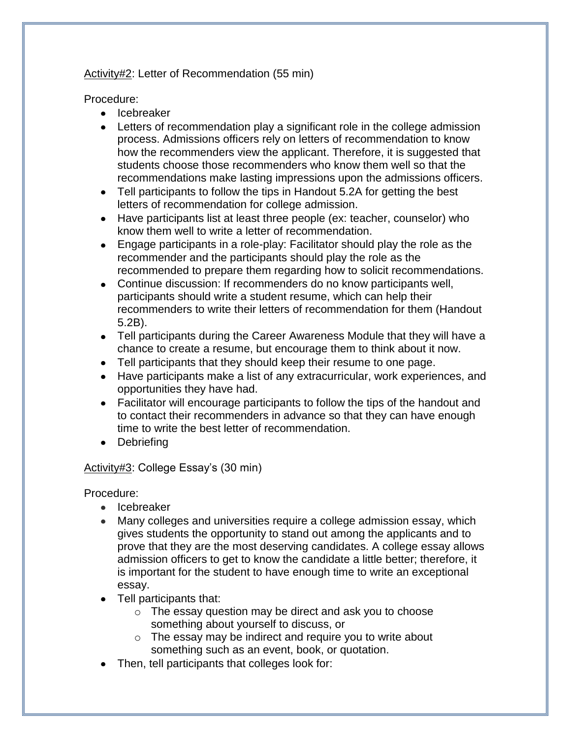#### Activity#2: Letter of Recommendation (55 min)

Procedure:

- Icebreaker
- Letters of recommendation play a significant role in the college admission process. Admissions officers rely on letters of recommendation to know how the recommenders view the applicant. Therefore, it is suggested that students choose those recommenders who know them well so that the recommendations make lasting impressions upon the admissions officers.
- Tell participants to follow the tips in Handout 5.2A for getting the best letters of recommendation for college admission.
- Have participants list at least three people (ex: teacher, counselor) who know them well to write a letter of recommendation.
- Engage participants in a role-play: Facilitator should play the role as the recommender and the participants should play the role as the recommended to prepare them regarding how to solicit recommendations.
- Continue discussion: If recommenders do no know participants well, participants should write a student resume, which can help their recommenders to write their letters of recommendation for them (Handout 5.2B).
- Tell participants during the Career Awareness Module that they will have a chance to create a resume, but encourage them to think about it now.
- Tell participants that they should keep their resume to one page.
- Have participants make a list of any extracurricular, work experiences, and opportunities they have had.
- Facilitator will encourage participants to follow the tips of the handout and to contact their recommenders in advance so that they can have enough time to write the best letter of recommendation.
- Debriefing

#### Activity#3: College Essay's (30 min)

Procedure:

- Icebreaker
- Many colleges and universities require a college admission essay, which gives students the opportunity to stand out among the applicants and to prove that they are the most deserving candidates. A college essay allows admission officers to get to know the candidate a little better; therefore, it is important for the student to have enough time to write an exceptional essay.
- Tell participants that:
	- o The essay question may be direct and ask you to choose something about yourself to discuss, or
	- o The essay may be indirect and require you to write about something such as an event, book, or quotation.
- Then, tell participants that colleges look for: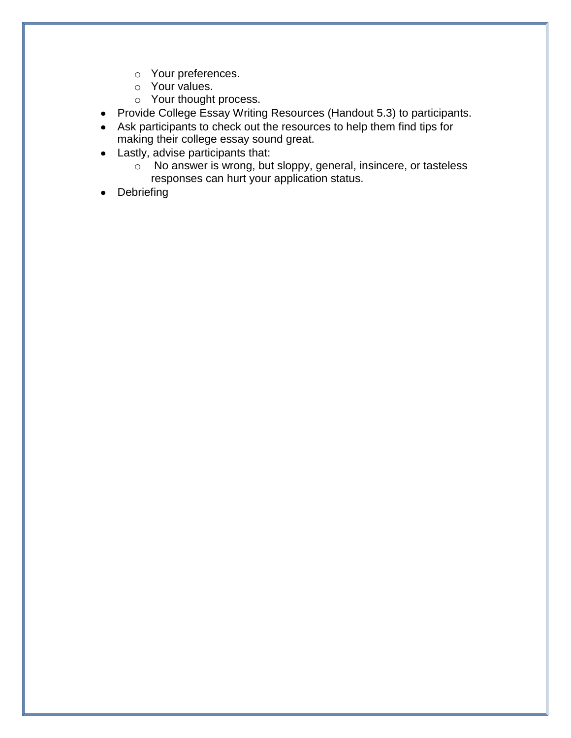- o Your preferences.
- o Your values.
- o Your thought process.
- Provide College Essay Writing Resources (Handout 5.3) to participants.
- Ask participants to check out the resources to help them find tips for making their college essay sound great.
- Lastly, advise participants that:
	- o No answer is wrong, but sloppy, general, insincere, or tasteless responses can hurt your application status.
- Debriefing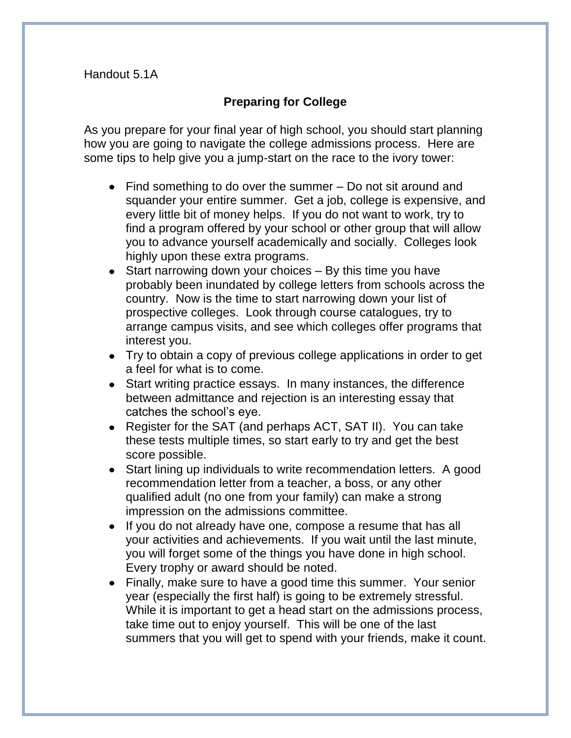# **Preparing for College**

As you prepare for your final year of high school, you should start planning how you are going to navigate the college admissions process. Here are some tips to help give you a jump-start on the race to the ivory tower:

- Find something to do over the summer Do not sit around and squander your entire summer. Get a job, college is expensive, and every little bit of money helps. If you do not want to work, try to find a program offered by your school or other group that will allow you to advance yourself academically and socially. Colleges look highly upon these extra programs.
- Start narrowing down your choices By this time you have probably been inundated by college letters from schools across the country. Now is the time to start narrowing down your list of prospective colleges. Look through course catalogues, try to arrange campus visits, and see which colleges offer programs that interest you.
- Try to obtain a copy of previous college applications in order to get a feel for what is to come.
- Start writing practice essays. In many instances, the difference between admittance and rejection is an interesting essay that catches the school's eye.
- Register for the SAT (and perhaps ACT, SAT II). You can take these tests multiple times, so start early to try and get the best score possible.
- Start lining up individuals to write recommendation letters. A good recommendation letter from a teacher, a boss, or any other qualified adult (no one from your family) can make a strong impression on the admissions committee.
- If you do not already have one, compose a resume that has all your activities and achievements. If you wait until the last minute, you will forget some of the things you have done in high school. Every trophy or award should be noted.
- Finally, make sure to have a good time this summer. Your senior year (especially the first half) is going to be extremely stressful. While it is important to get a head start on the admissions process, take time out to enjoy yourself. This will be one of the last summers that you will get to spend with your friends, make it count.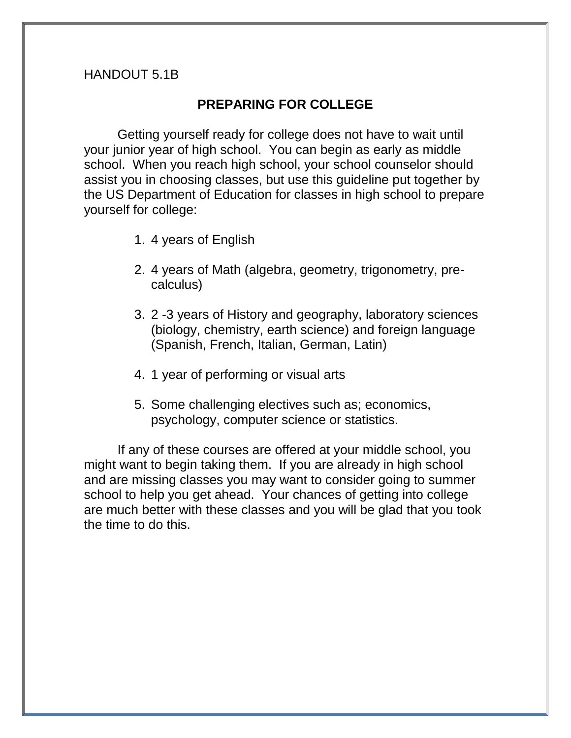### HANDOUT 5.1B

### **PREPARING FOR COLLEGE**

Getting yourself ready for college does not have to wait until your junior year of high school. You can begin as early as middle school. When you reach high school, your school counselor should assist you in choosing classes, but use this guideline put together by the US Department of Education for classes in high school to prepare yourself for college:

- 1. 4 years of English
- 2. 4 years of Math (algebra, geometry, trigonometry, precalculus)
- 3. 2 -3 years of History and geography, laboratory sciences (biology, chemistry, earth science) and foreign language (Spanish, French, Italian, German, Latin)
- 4. 1 year of performing or visual arts
- 5. Some challenging electives such as; economics, psychology, computer science or statistics.

If any of these courses are offered at your middle school, you might want to begin taking them. If you are already in high school and are missing classes you may want to consider going to summer school to help you get ahead. Your chances of getting into college are much better with these classes and you will be glad that you took the time to do this.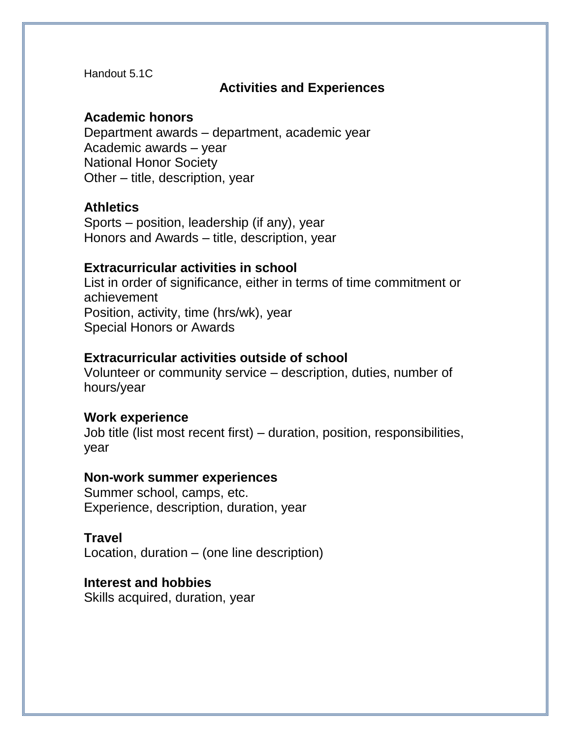Handout 5.1C

## **Activities and Experiences**

## **Academic honors**

Department awards – department, academic year Academic awards – year National Honor Society Other – title, description, year

## **Athletics**

Sports – position, leadership (if any), year Honors and Awards – title, description, year

## **Extracurricular activities in school**

List in order of significance, either in terms of time commitment or achievement Position, activity, time (hrs/wk), year Special Honors or Awards

## **Extracurricular activities outside of school**

Volunteer or community service – description, duties, number of hours/year

### **Work experience**

Job title (list most recent first) – duration, position, responsibilities, year

### **Non-work summer experiences**

Summer school, camps, etc. Experience, description, duration, year

# **Travel**

Location, duration – (one line description)

# **Interest and hobbies**

Skills acquired, duration, year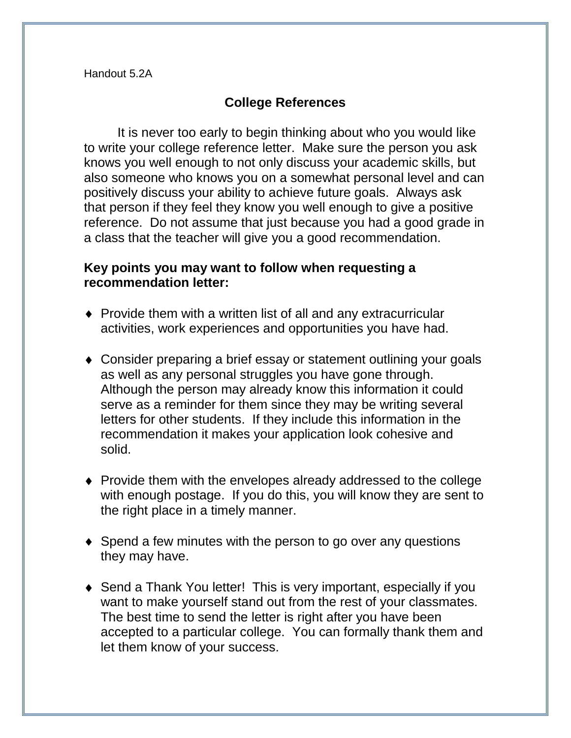# **College References**

It is never too early to begin thinking about who you would like to write your college reference letter. Make sure the person you ask knows you well enough to not only discuss your academic skills, but also someone who knows you on a somewhat personal level and can positively discuss your ability to achieve future goals. Always ask that person if they feel they know you well enough to give a positive reference. Do not assume that just because you had a good grade in a class that the teacher will give you a good recommendation.

# **Key points you may want to follow when requesting a recommendation letter:**

- ◆ Provide them with a written list of all and any extracurricular activities, work experiences and opportunities you have had.
- Consider preparing a brief essay or statement outlining your goals as well as any personal struggles you have gone through. Although the person may already know this information it could serve as a reminder for them since they may be writing several letters for other students. If they include this information in the recommendation it makes your application look cohesive and solid.
- Provide them with the envelopes already addressed to the college with enough postage. If you do this, you will know they are sent to the right place in a timely manner.
- ◆ Spend a few minutes with the person to go over any questions they may have.
- Send a Thank You letter! This is very important, especially if you want to make yourself stand out from the rest of your classmates. The best time to send the letter is right after you have been accepted to a particular college. You can formally thank them and let them know of your success.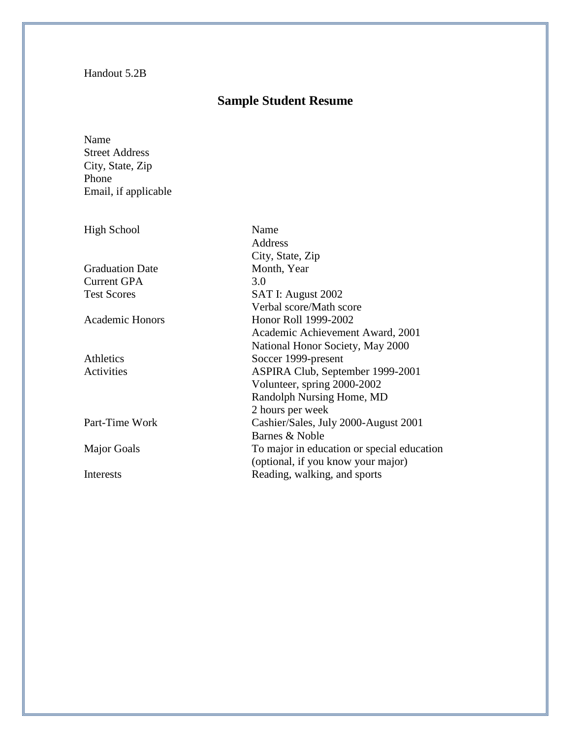#### Handout 5.2B

# **Sample Student Resume**

Name Street Address City, State, Zip Phone Email, if applicable

| <b>High School</b>     | Name                                       |
|------------------------|--------------------------------------------|
|                        | Address                                    |
|                        | City, State, Zip                           |
| <b>Graduation Date</b> | Month, Year                                |
| <b>Current GPA</b>     | 3.0                                        |
| <b>Test Scores</b>     | SAT I: August 2002                         |
|                        | Verbal score/Math score                    |
| <b>Academic Honors</b> | Honor Roll 1999-2002                       |
|                        | Academic Achievement Award, 2001           |
|                        | National Honor Society, May 2000           |
| Athletics              | Soccer 1999-present                        |
| Activities             | ASPIRA Club, September 1999-2001           |
|                        | Volunteer, spring 2000-2002                |
|                        | Randolph Nursing Home, MD                  |
|                        | 2 hours per week                           |
| Part-Time Work         | Cashier/Sales, July 2000-August 2001       |
|                        | Barnes & Noble                             |
| <b>Major Goals</b>     | To major in education or special education |
|                        | (optional, if you know your major)         |
| Interests              | Reading, walking, and sports               |
|                        |                                            |